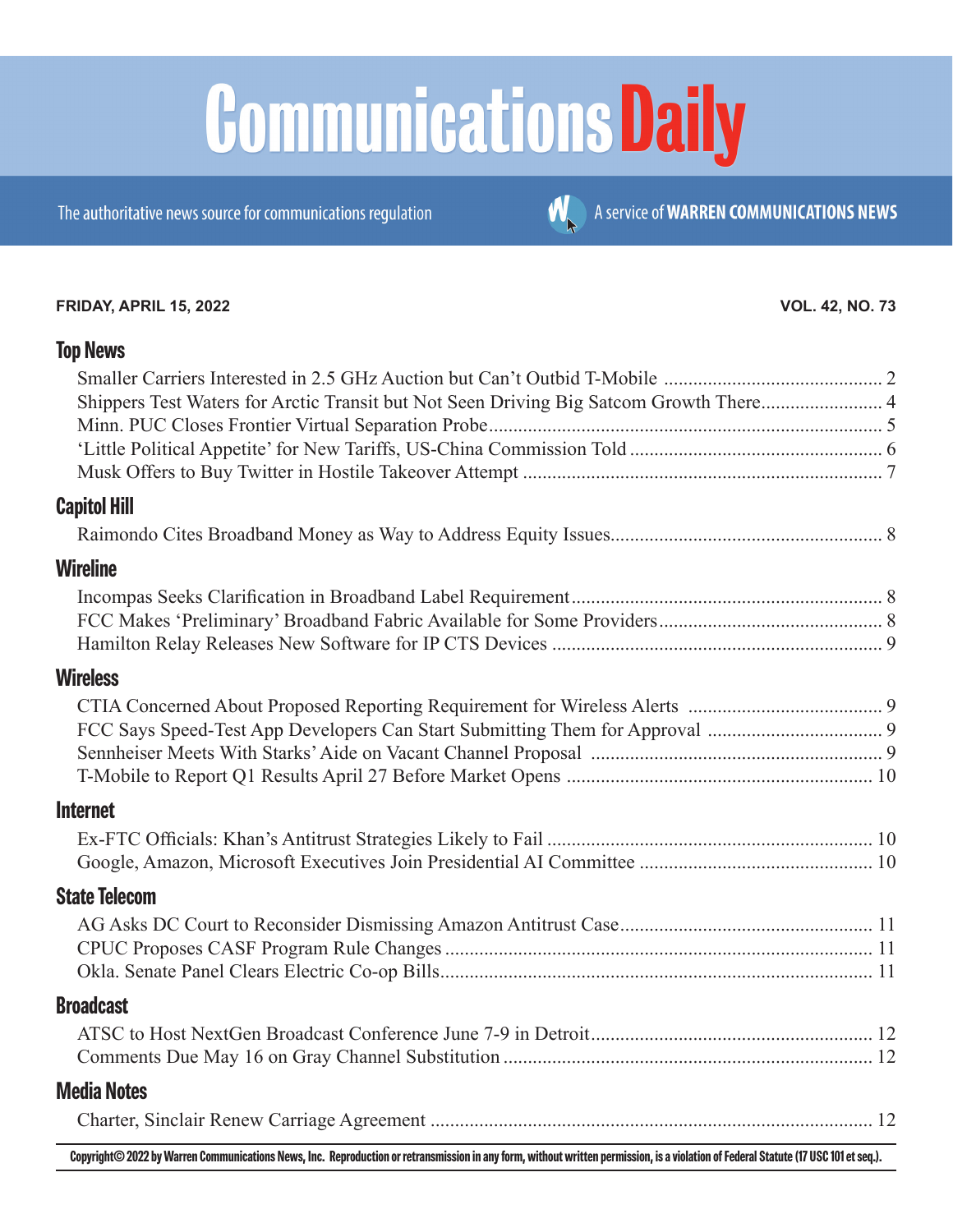# **Communications Daily**

The authoritative news source for communications regulation

#### **FRIDAY, APRIL 15, 2022 VOL. 42, NO. 73**

A service of WARREN COMMUNICATIONS NEWS

#### **[Top News](#page-1-0)**

| Shippers Test Waters for Arctic Transit but Not Seen Driving Big Satcom Growth There 4                                                                                                                                         |  |
|--------------------------------------------------------------------------------------------------------------------------------------------------------------------------------------------------------------------------------|--|
|                                                                                                                                                                                                                                |  |
|                                                                                                                                                                                                                                |  |
|                                                                                                                                                                                                                                |  |
| <b>Capitol Hill</b>                                                                                                                                                                                                            |  |
|                                                                                                                                                                                                                                |  |
| Wireline                                                                                                                                                                                                                       |  |
|                                                                                                                                                                                                                                |  |
|                                                                                                                                                                                                                                |  |
|                                                                                                                                                                                                                                |  |
| <b>Wireless</b>                                                                                                                                                                                                                |  |
|                                                                                                                                                                                                                                |  |
|                                                                                                                                                                                                                                |  |
|                                                                                                                                                                                                                                |  |
|                                                                                                                                                                                                                                |  |
| <b>Internet</b>                                                                                                                                                                                                                |  |
|                                                                                                                                                                                                                                |  |
|                                                                                                                                                                                                                                |  |
| <b>State Telecom</b>                                                                                                                                                                                                           |  |
|                                                                                                                                                                                                                                |  |
|                                                                                                                                                                                                                                |  |
|                                                                                                                                                                                                                                |  |
| <b>Broadcast</b>                                                                                                                                                                                                               |  |
|                                                                                                                                                                                                                                |  |
|                                                                                                                                                                                                                                |  |
| <b>Media Notes</b>                                                                                                                                                                                                             |  |
|                                                                                                                                                                                                                                |  |
| A SHORACA HE A STUDIES IN THE STUDIES STATE A SHORACA CHARACA CHARACA AND THE STUDIES OF THE STATE OF THE STATE OF THE STATE OF THE STATE OF THE STATE OF THE STATE OF THE STATE OF THE STATE OF THE STATE OF THE STATE OF THE |  |

**Copyright© 2022 by Warren Communications News, Inc. Reproduction or retransmission in any form, without written permission, is a violation of Federal Statute (17 USC 101 et seq.).**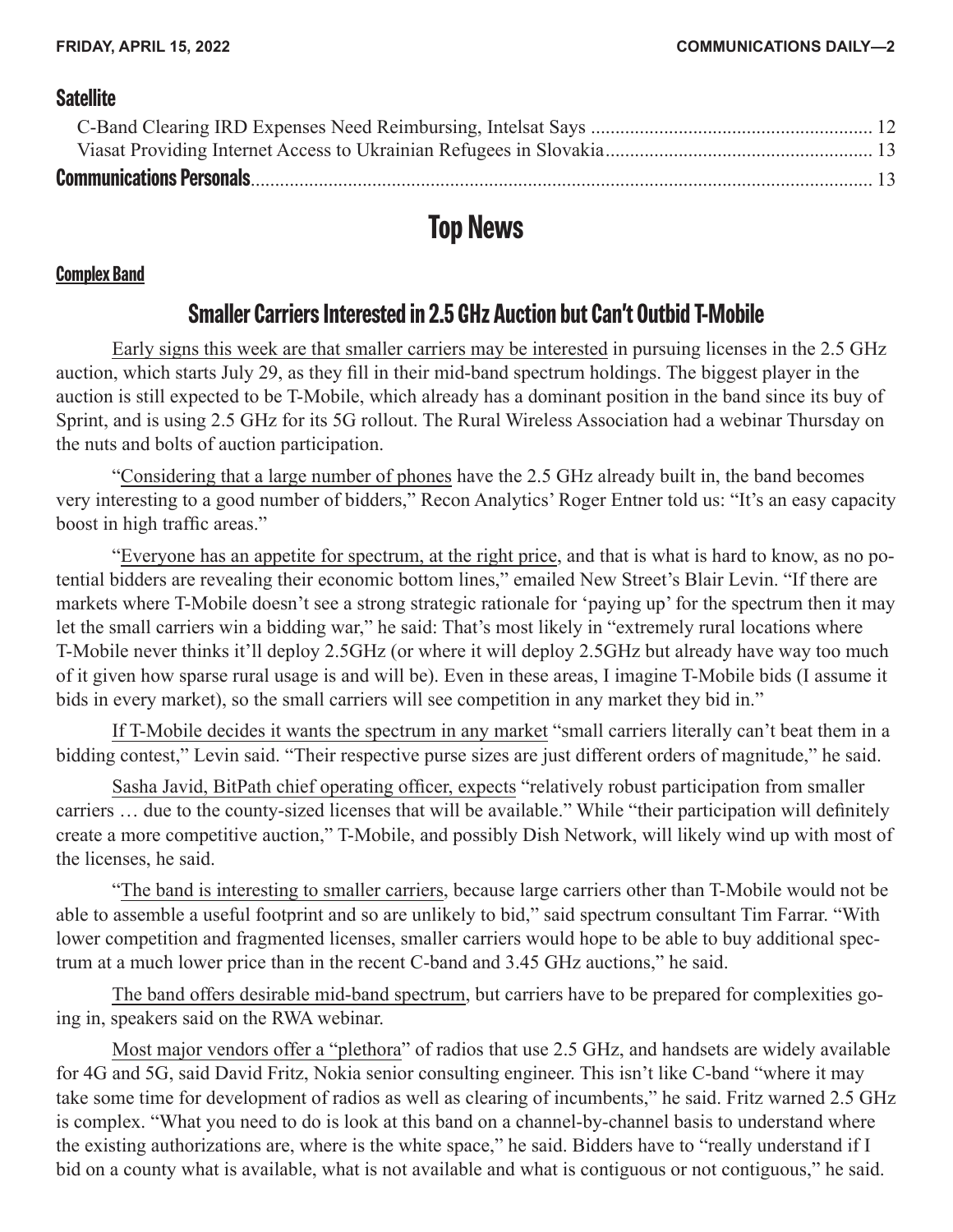#### <span id="page-1-0"></span>**[Satellite](#page-11-0)**

## **Top News**

#### **Complex Band**

#### **Smaller Carriers Interested in 2.5 GHz Auction but Can't Outbid T-Mobile**

Early signs this week are that smaller carriers may be interested in pursuing licenses in the 2.5 GHz auction, which starts July 29, as they fill in their mid-band spectrum holdings. The biggest player in the auction is still expected to be T-Mobile, which already has a dominant position in the band since its buy of Sprint, and is using 2.5 GHz for its 5G rollout. The Rural Wireless Association had a webinar Thursday on the nuts and bolts of auction participation.

"Considering that a large number of phones have the 2.5 GHz already built in, the band becomes very interesting to a good number of bidders," Recon Analytics' Roger Entner told us: "It's an easy capacity boost in high traffic areas."

"Everyone has an appetite for spectrum, at the right price, and that is what is hard to know, as no potential bidders are revealing their economic bottom lines," emailed New Street's Blair Levin. "If there are markets where T-Mobile doesn't see a strong strategic rationale for 'paying up' for the spectrum then it may let the small carriers win a bidding war," he said: That's most likely in "extremely rural locations where T-Mobile never thinks it'll deploy 2.5GHz (or where it will deploy 2.5GHz but already have way too much of it given how sparse rural usage is and will be). Even in these areas, I imagine T-Mobile bids (I assume it bids in every market), so the small carriers will see competition in any market they bid in."

If T-Mobile decides it wants the spectrum in any market "small carriers literally can't beat them in a bidding contest," Levin said. "Their respective purse sizes are just different orders of magnitude," he said.

Sasha Javid, BitPath chief operating officer, expects "relatively robust participation from smaller carriers … due to the county-sized licenses that will be available." While "their participation will definitely create a more competitive auction," T-Mobile, and possibly Dish Network, will likely wind up with most of the licenses, he said.

"The band is interesting to smaller carriers, because large carriers other than T-Mobile would not be able to assemble a useful footprint and so are unlikely to bid," said spectrum consultant Tim Farrar. "With lower competition and fragmented licenses, smaller carriers would hope to be able to buy additional spectrum at a much lower price than in the recent C-band and 3.45 GHz auctions," he said.

The band offers desirable mid-band spectrum, but carriers have to be prepared for complexities going in, speakers said on the RWA webinar.

Most major vendors offer a "plethora" of radios that use 2.5 GHz, and handsets are widely available for 4G and 5G, said David Fritz, Nokia senior consulting engineer. This isn't like C-band "where it may take some time for development of radios as well as clearing of incumbents," he said. Fritz warned 2.5 GHz is complex. "What you need to do is look at this band on a channel-by-channel basis to understand where the existing authorizations are, where is the white space," he said. Bidders have to "really understand if I bid on a county what is available, what is not available and what is contiguous or not contiguous," he said.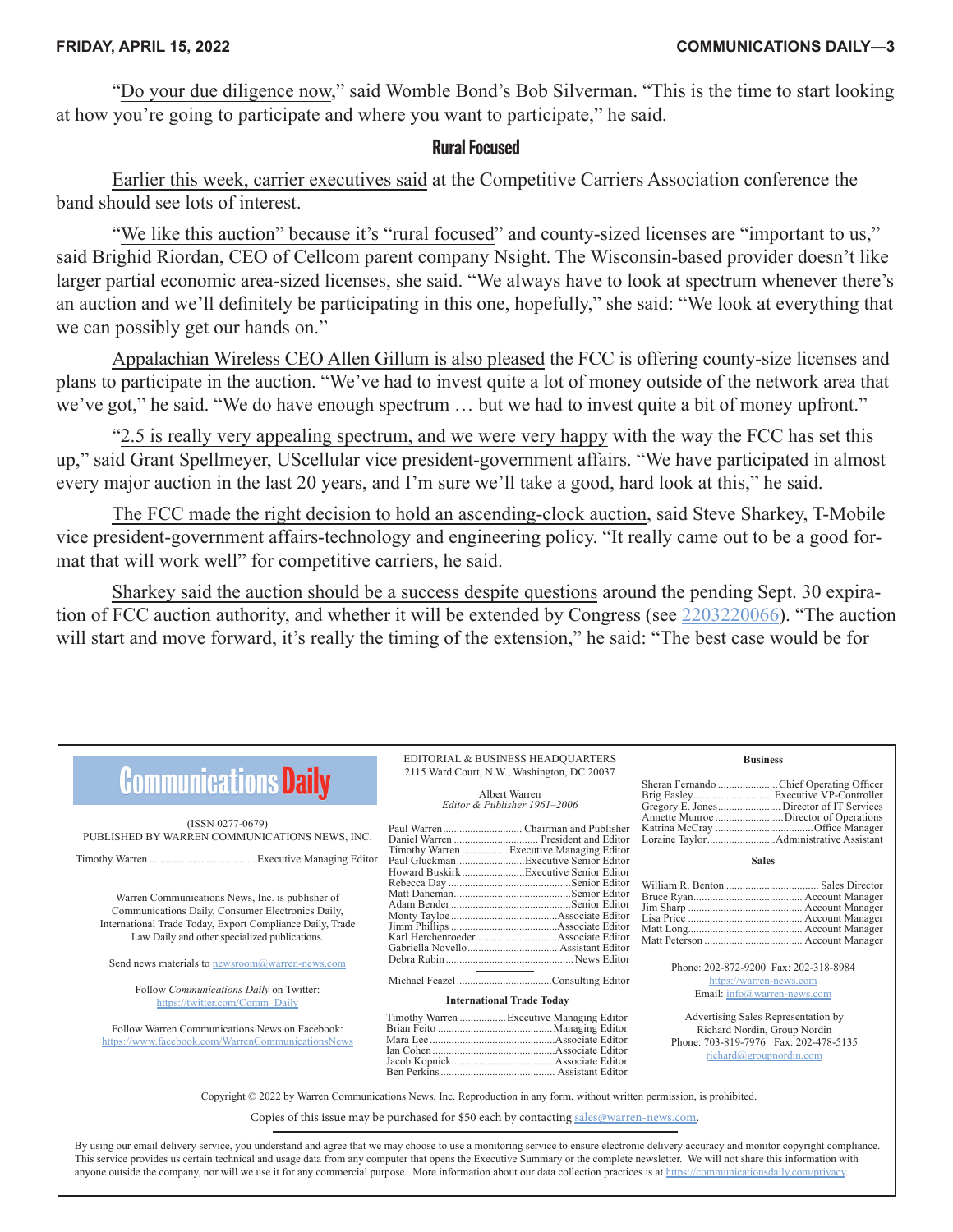"Do your due diligence now," said Womble Bond's Bob Silverman. "This is the time to start looking at how you're going to participate and where you want to participate," he said.

#### **Rural Focused**

Earlier this week, carrier executives said at the Competitive Carriers Association conference the band should see lots of interest.

"We like this auction" because it's "rural focused" and county-sized licenses are "important to us," said Brighid Riordan, CEO of Cellcom parent company Nsight. The Wisconsin-based provider doesn't like larger partial economic area-sized licenses, she said. "We always have to look at spectrum whenever there's an auction and we'll definitely be participating in this one, hopefully," she said: "We look at everything that we can possibly get our hands on."

Appalachian Wireless CEO Allen Gillum is also pleased the FCC is offering county-size licenses and plans to participate in the auction. "We've had to invest quite a lot of money outside of the network area that we've got," he said. "We do have enough spectrum … but we had to invest quite a bit of money upfront."

"2.5 is really very appealing spectrum, and we were very happy with the way the FCC has set this up," said Grant Spellmeyer, UScellular vice president-government affairs. "We have participated in almost every major auction in the last 20 years, and I'm sure we'll take a good, hard look at this," he said.

The FCC made the right decision to hold an ascending-clock auction, said Steve Sharkey, T-Mobile vice president-government affairs-technology and engineering policy. "It really came out to be a good format that will work well" for competitive carriers, he said.

Sharkey said the auction should be a success despite questions around the pending Sept. 30 expiration of FCC auction authority, and whether it will be extended by Congress (see [2203220066\)](https://communicationsdaily.com/reference/2203220066). "The auction will start and move forward, it's really the timing of the extension," he said: "The best case would be for

| <b>Communications Daily</b>                                                                                                     | EDITORIAL & BUSINESS HEADQUARTERS<br>2115 Ward Court, N.W., Washington, DC 20037 |                                           | <b>Business</b>                                                                                                                         |  |  |
|---------------------------------------------------------------------------------------------------------------------------------|----------------------------------------------------------------------------------|-------------------------------------------|-----------------------------------------------------------------------------------------------------------------------------------------|--|--|
|                                                                                                                                 | Albert Warren                                                                    |                                           |                                                                                                                                         |  |  |
| (ISSN 0277-0679)                                                                                                                | Editor & Publisher 1961-2006                                                     |                                           | Gregory E. Jones Director of IT Services                                                                                                |  |  |
| PUBLISHED BY WARREN COMMUNICATIONS NEWS, INC.                                                                                   |                                                                                  |                                           |                                                                                                                                         |  |  |
|                                                                                                                                 |                                                                                  | Timothy Warren  Executive Managing Editor | <b>Sales</b>                                                                                                                            |  |  |
|                                                                                                                                 |                                                                                  |                                           |                                                                                                                                         |  |  |
| Warren Communications News, Inc. is publisher of<br>Communications Daily, Consumer Electronics Daily,                           |                                                                                  |                                           |                                                                                                                                         |  |  |
| International Trade Today, Export Compliance Daily, Trade<br>Law Daily and other specialized publications.                      |                                                                                  |                                           |                                                                                                                                         |  |  |
| Send news materials to newsroom@warren-news.com                                                                                 |                                                                                  |                                           | Phone: 202-872-9200 Fax: 202-318-8984                                                                                                   |  |  |
| Follow Communications Daily on Twitter:                                                                                         |                                                                                  |                                           | https://warren-news.com<br>Email: info@warren-news.com                                                                                  |  |  |
| https://twitter.com/Comm_Daily                                                                                                  |                                                                                  | <b>International Trade Today</b>          |                                                                                                                                         |  |  |
| Follow Warren Communications News on Facebook:<br>https://www.facebook.com/WarrenCommunicationsNews                             |                                                                                  | Timothy Warren  Executive Managing Editor | Advertising Sales Representation by<br>Richard Nordin, Group Nordin<br>Phone: 703-819-7976 Fax: 202-478-5135<br>richard@groupnordin.com |  |  |
| Copyright $\odot$ 2022 by Warren Communications News, Inc. Reproduction in any form, without written permission, is prohibited. |                                                                                  |                                           |                                                                                                                                         |  |  |
| Copies of this issue may be purchased for \$50 each by contacting sales@warren-news.com.                                        |                                                                                  |                                           |                                                                                                                                         |  |  |
|                                                                                                                                 |                                                                                  |                                           |                                                                                                                                         |  |  |

By using our email delivery service, you understand and agree that we may choose to use a monitoring service to ensure electronic delivery accuracy and monitor copyright compliance. This service provides us certain technical and usage data from any computer that opens the Executive Summary or the complete newsletter. We will not share this information with anyone outside the company, nor will we use it for any commercial purpose. More information about our data collection practices is at https://c[ommunicationsdaily.com/privacy](https://communicationsdaily.com/privacy).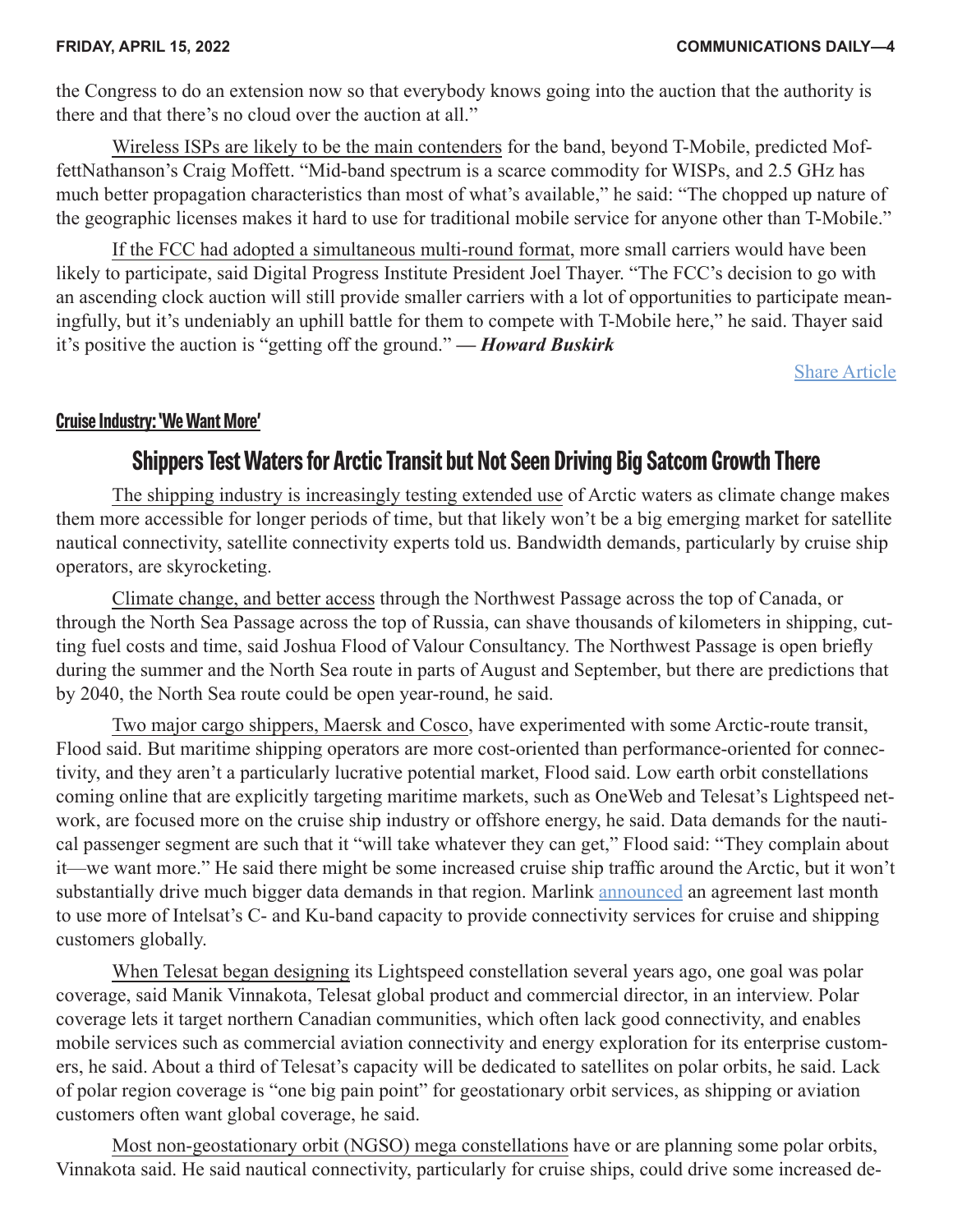<span id="page-3-0"></span>the Congress to do an extension now so that everybody knows going into the auction that the authority is there and that there's no cloud over the auction at all."

Wireless ISPs are likely to be the main contenders for the band, beyond T-Mobile, predicted MoffettNathanson's Craig Moffett. "Mid-band spectrum is a scarce commodity for WISPs, and 2.5 GHz has much better propagation characteristics than most of what's available," he said: "The chopped up nature of the geographic licenses makes it hard to use for traditional mobile service for anyone other than T-Mobile."

If the FCC had adopted a simultaneous multi-round format, more small carriers would have been likely to participate, said Digital Progress Institute President Joel Thayer. "The FCC's decision to go with an ascending clock auction will still provide smaller carriers with a lot of opportunities to participate meaningfully, but it's undeniably an uphill battle for them to compete with T-Mobile here," he said. Thayer said it's positive the auction is "getting off the ground." *— Howard Buskirk*

[Share Article](https://communicationsdaily.com/article/share?a=660133)

#### **Cruise Industry: 'We Want More'**

### **Shippers Test Waters for Arctic Transit but Not Seen Driving Big Satcom Growth There**

The shipping industry is increasingly testing extended use of Arctic waters as climate change makes them more accessible for longer periods of time, but that likely won't be a big emerging market for satellite nautical connectivity, satellite connectivity experts told us. Bandwidth demands, particularly by cruise ship operators, are skyrocketing.

Climate change, and better access through the Northwest Passage across the top of Canada, or through the North Sea Passage across the top of Russia, can shave thousands of kilometers in shipping, cutting fuel costs and time, said Joshua Flood of Valour Consultancy. The Northwest Passage is open briefly during the summer and the North Sea route in parts of August and September, but there are predictions that by 2040, the North Sea route could be open year-round, he said.

Two major cargo shippers, Maersk and Cosco, have experimented with some Arctic-route transit, Flood said. But maritime shipping operators are more cost-oriented than performance-oriented for connectivity, and they aren't a particularly lucrative potential market, Flood said. Low earth orbit constellations coming online that are explicitly targeting maritime markets, such as OneWeb and Telesat's Lightspeed network, are focused more on the cruise ship industry or offshore energy, he said. Data demands for the nautical passenger segment are such that it "will take whatever they can get," Flood said: "They complain about it—we want more." He said there might be some increased cruise ship traffic around the Arctic, but it won't substantially drive much bigger data demands in that region. Marlink [announced](https://communicationsdaily.com/source/833242) an agreement last month to use more of Intelsat's C- and Ku-band capacity to provide connectivity services for cruise and shipping customers globally.

When Telesat began designing its Lightspeed constellation several years ago, one goal was polar coverage, said Manik Vinnakota, Telesat global product and commercial director, in an interview. Polar coverage lets it target northern Canadian communities, which often lack good connectivity, and enables mobile services such as commercial aviation connectivity and energy exploration for its enterprise customers, he said. About a third of Telesat's capacity will be dedicated to satellites on polar orbits, he said. Lack of polar region coverage is "one big pain point" for geostationary orbit services, as shipping or aviation customers often want global coverage, he said.

Most non-geostationary orbit (NGSO) mega constellations have or are planning some polar orbits, Vinnakota said. He said nautical connectivity, particularly for cruise ships, could drive some increased de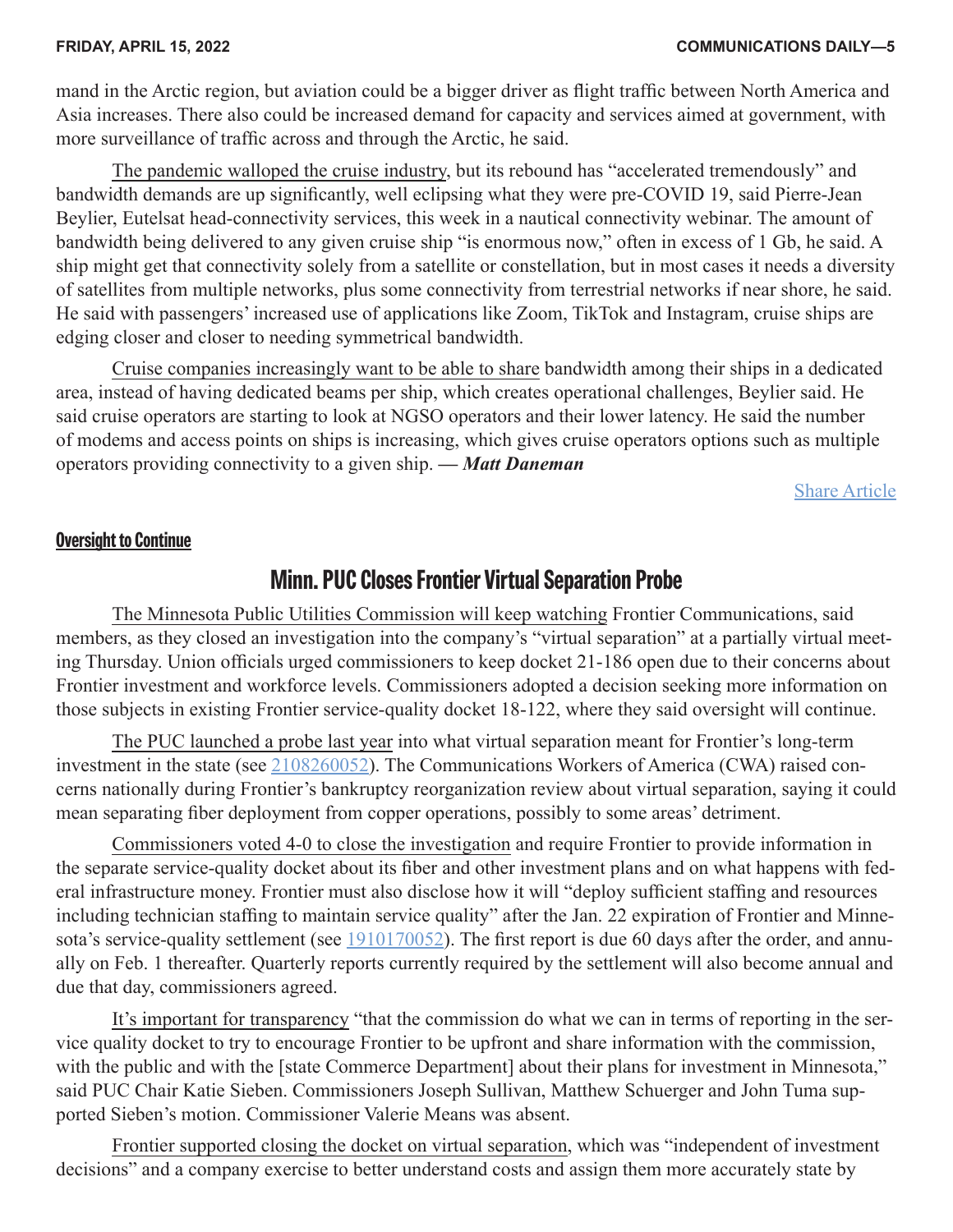<span id="page-4-0"></span>mand in the Arctic region, but aviation could be a bigger driver as flight traffic between North America and Asia increases. There also could be increased demand for capacity and services aimed at government, with more surveillance of traffic across and through the Arctic, he said.

The pandemic walloped the cruise industry, but its rebound has "accelerated tremendously" and bandwidth demands are up significantly, well eclipsing what they were pre-COVID 19, said Pierre-Jean Beylier, Eutelsat head-connectivity services, this week in a nautical connectivity webinar. The amount of bandwidth being delivered to any given cruise ship "is enormous now," often in excess of 1 Gb, he said. A ship might get that connectivity solely from a satellite or constellation, but in most cases it needs a diversity of satellites from multiple networks, plus some connectivity from terrestrial networks if near shore, he said. He said with passengers' increased use of applications like Zoom, TikTok and Instagram, cruise ships are edging closer and closer to needing symmetrical bandwidth.

Cruise companies increasingly want to be able to share bandwidth among their ships in a dedicated area, instead of having dedicated beams per ship, which creates operational challenges, Beylier said. He said cruise operators are starting to look at NGSO operators and their lower latency. He said the number of modems and access points on ships is increasing, which gives cruise operators options such as multiple operators providing connectivity to a given ship. *— Matt Daneman*

[Share Article](https://communicationsdaily.com/article/share?a=660089)

#### **Oversight to Continue**

#### **Minn. PUC Closes Frontier Virtual Separation Probe**

The Minnesota Public Utilities Commission will keep watching Frontier Communications, said members, as they closed an investigation into the company's "virtual separation" at a partially virtual meeting Thursday. Union officials urged commissioners to keep docket 21-186 open due to their concerns about Frontier investment and workforce levels. Commissioners adopted a decision seeking more information on those subjects in existing Frontier service-quality docket 18-122, where they said oversight will continue.

The PUC launched a probe last year into what virtual separation meant for Frontier's long-term investment in the state (see [2108260052\)](https://communicationsdaily.com/reference/2108260052). The Communications Workers of America (CWA) raised concerns nationally during Frontier's bankruptcy reorganization review about virtual separation, saying it could mean separating fiber deployment from copper operations, possibly to some areas' detriment.

Commissioners voted 4-0 to close the investigation and require Frontier to provide information in the separate service-quality docket about its fiber and other investment plans and on what happens with federal infrastructure money. Frontier must also disclose how it will "deploy sufficient staffing and resources including technician staffing to maintain service quality" after the Jan. 22 expiration of Frontier and Minnesota's service-quality settlement (see [1910170052](https://communicationsdaily.com/reference/1910170052)). The first report is due 60 days after the order, and annually on Feb. 1 thereafter. Quarterly reports currently required by the settlement will also become annual and due that day, commissioners agreed.

It's important for transparency "that the commission do what we can in terms of reporting in the service quality docket to try to encourage Frontier to be upfront and share information with the commission, with the public and with the [state Commerce Department] about their plans for investment in Minnesota," said PUC Chair Katie Sieben. Commissioners Joseph Sullivan, Matthew Schuerger and John Tuma supported Sieben's motion. Commissioner Valerie Means was absent.

Frontier supported closing the docket on virtual separation, which was "independent of investment decisions" and a company exercise to better understand costs and assign them more accurately state by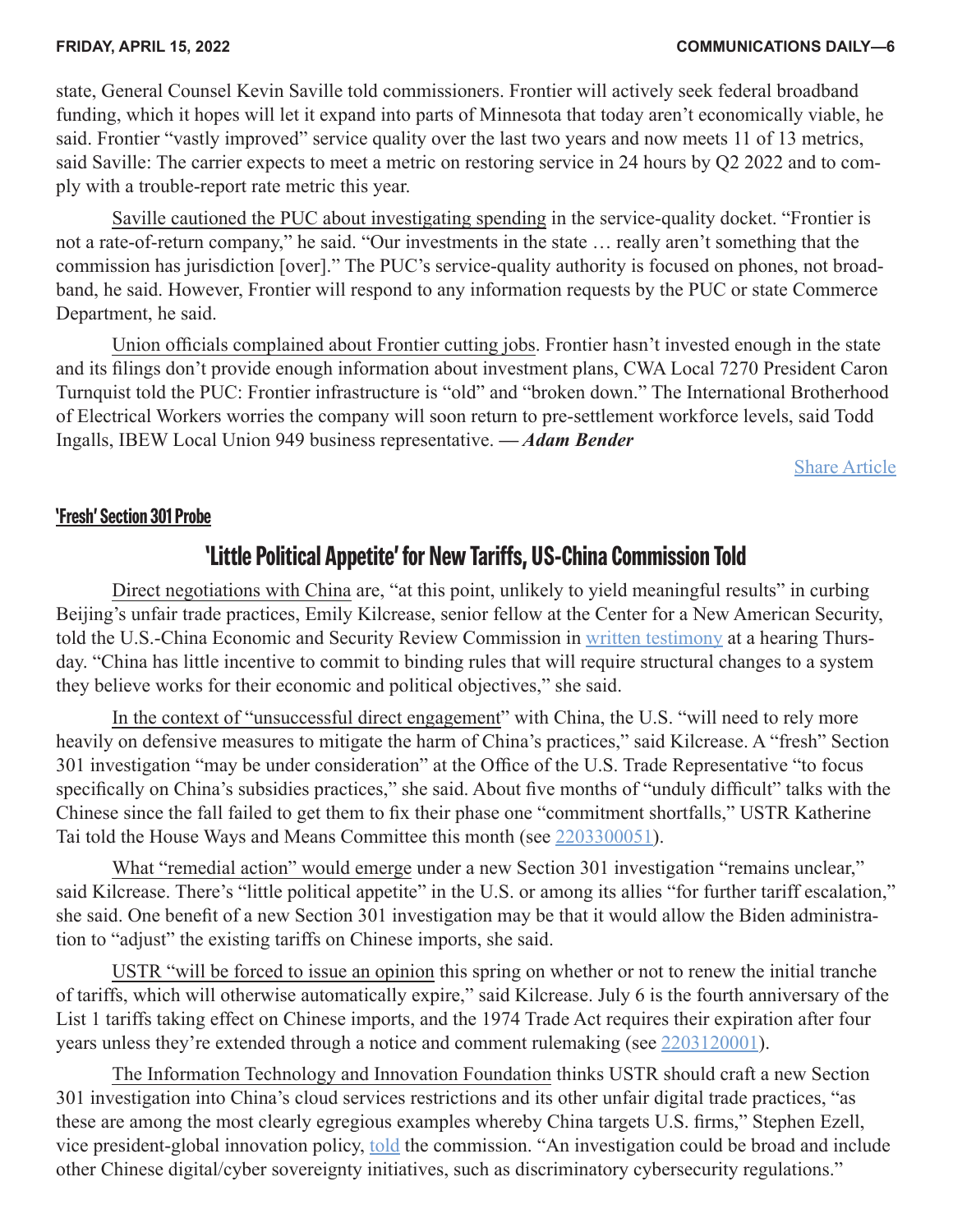#### <span id="page-5-0"></span>**FRIDAY, APRIL 15, 2022 COMMUNICATIONS DAILY—6**

state, General Counsel Kevin Saville told commissioners. Frontier will actively seek federal broadband funding, which it hopes will let it expand into parts of Minnesota that today aren't economically viable, he said. Frontier "vastly improved" service quality over the last two years and now meets 11 of 13 metrics, said Saville: The carrier expects to meet a metric on restoring service in 24 hours by Q2 2022 and to comply with a trouble-report rate metric this year.

Saville cautioned the PUC about investigating spending in the service-quality docket. "Frontier is not a rate-of-return company," he said. "Our investments in the state … really aren't something that the commission has jurisdiction [over]." The PUC's service-quality authority is focused on phones, not broadband, he said. However, Frontier will respond to any information requests by the PUC or state Commerce Department, he said.

Union officials complained about Frontier cutting jobs. Frontier hasn't invested enough in the state and its filings don't provide enough information about investment plans, CWA Local 7270 President Caron Turnquist told the PUC: Frontier infrastructure is "old" and "broken down." The International Brotherhood of Electrical Workers worries the company will soon return to pre-settlement workforce levels, said Todd Ingalls, IBEW Local Union 949 business representative. *— Adam Bender*

[Share Article](https://communicationsdaily.com/article/share?a=660111)

#### **'Fresh' Section 301 Probe**

#### **'Little Political Appetite' for New Tariffs, US-China Commission Told**

Direct negotiations with China are, "at this point, unlikely to yield meaningful results" in curbing Beijing's unfair trade practices, Emily Kilcrease, senior fellow at the Center for a New American Security, told the U.S.-China Economic and Security Review Commission in [written testimony](https://communicationsdaily.com/source/833218) at a hearing Thursday. "China has little incentive to commit to binding rules that will require structural changes to a system they believe works for their economic and political objectives," she said.

In the context of "unsuccessful direct engagement" with China, the U.S. "will need to rely more heavily on defensive measures to mitigate the harm of China's practices," said Kilcrease. A "fresh" Section 301 investigation "may be under consideration" at the Office of the U.S. Trade Representative "to focus specifically on China's subsidies practices," she said. About five months of "unduly difficult" talks with the Chinese since the fall failed to get them to fix their phase one "commitment shortfalls," USTR Katherine Tai told the House Ways and Means Committee this month (see [2203300051\)](https://communicationsdaily.com/reference/2203300051).

What "remedial action" would emerge under a new Section 301 investigation "remains unclear," said Kilcrease. There's "little political appetite" in the U.S. or among its allies "for further tariff escalation," she said. One benefit of a new Section 301 investigation may be that it would allow the Biden administration to "adjust" the existing tariffs on Chinese imports, she said.

USTR "will be forced to issue an opinion this spring on whether or not to renew the initial tranche of tariffs, which will otherwise automatically expire," said Kilcrease. July 6 is the fourth anniversary of the List 1 tariffs taking effect on Chinese imports, and the 1974 Trade Act requires their expiration after four years unless they're extended through a notice and comment rulemaking (see [2203120001\)](https://communicationsdaily.com/reference/2203120001).

The Information Technology and Innovation Foundation thinks USTR should craft a new Section 301 investigation into China's cloud services restrictions and its other unfair digital trade practices, "as these are among the most clearly egregious examples whereby China targets U.S. firms," Stephen Ezell, vice president-global innovation policy, [told](https://communicationsdaily.com/source/833219) the commission. "An investigation could be broad and include other Chinese digital/cyber sovereignty initiatives, such as discriminatory cybersecurity regulations."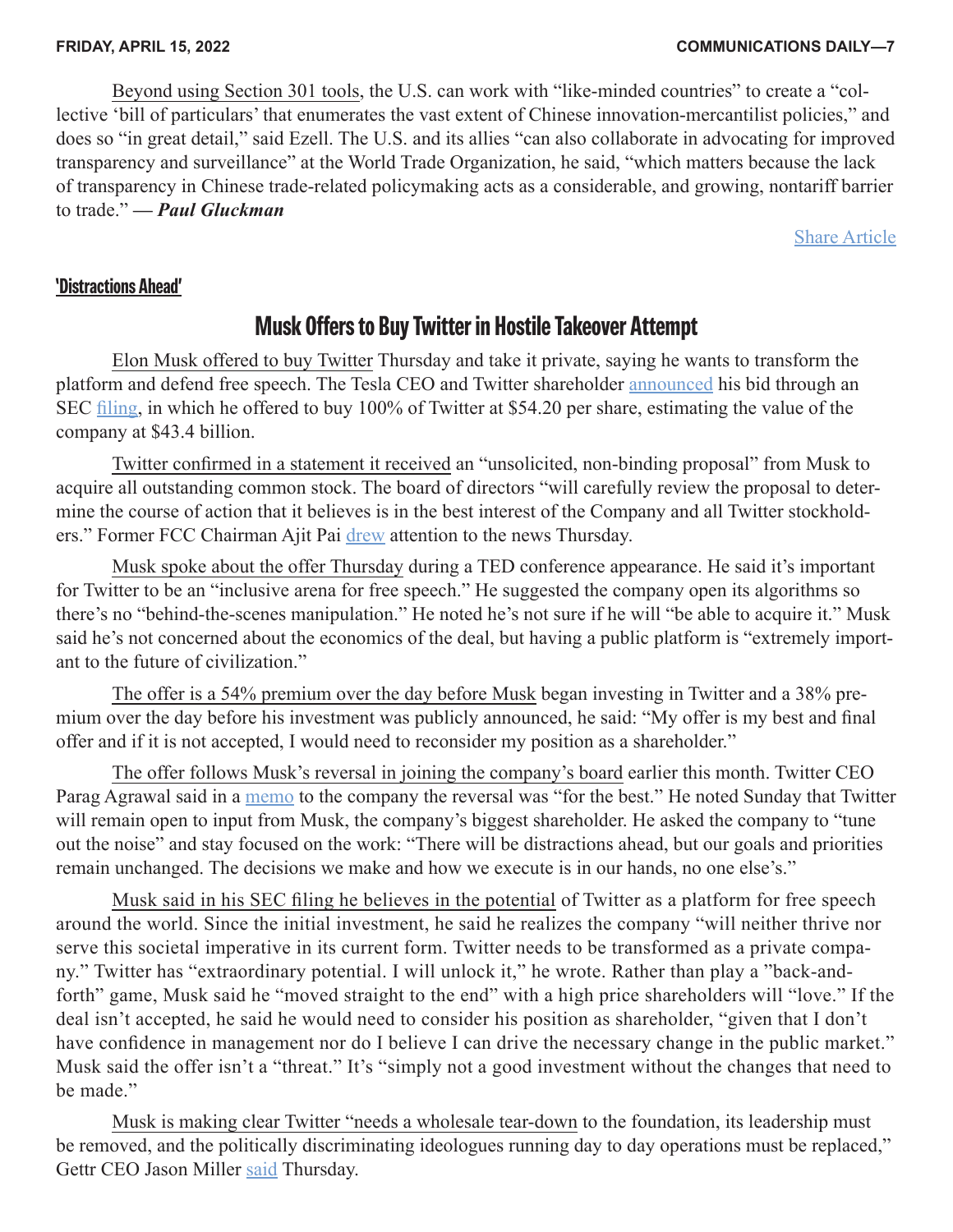<span id="page-6-0"></span>Beyond using Section 301 tools, the U.S. can work with "like-minded countries" to create a "collective 'bill of particulars' that enumerates the vast extent of Chinese innovation-mercantilist policies," and does so "in great detail," said Ezell. The U.S. and its allies "can also collaborate in advocating for improved transparency and surveillance" at the World Trade Organization, he said, "which matters because the lack of transparency in Chinese trade-related policymaking acts as a considerable, and growing, nontariff barrier to trade." *— Paul Gluckman*

[Share Article](https://communicationsdaily.com/article/share?a=660130)

#### **'Distractions Ahead'**

### **Musk Offers to Buy Twitter in Hostile Takeover Attempt**

Elon Musk offered to buy Twitter Thursday and take it private, saying he wants to transform the platform and defend free speech. The Tesla CEO and Twitter shareholder [announced](https://communicationsdaily.com/source/833323) his bid through an SEC [filing](https://communicationsdaily.com/source/833321), in which he offered to buy 100% of Twitter at \$54.20 per share, estimating the value of the company at \$43.4 billion.

Twitter confirmed in a statement it received an "unsolicited, non-binding proposal" from Musk to acquire all outstanding common stock. The board of directors "will carefully review the proposal to determine the course of action that it believes is in the best interest of the Company and all Twitter stockholders." Former FCC Chairman Ajit Pai [drew](https://communicationsdaily.com/source/833324) attention to the news Thursday.

Musk spoke about the offer Thursday during a TED conference appearance. He said it's important for Twitter to be an "inclusive arena for free speech." He suggested the company open its algorithms so there's no "behind-the-scenes manipulation." He noted he's not sure if he will "be able to acquire it." Musk said he's not concerned about the economics of the deal, but having a public platform is "extremely important to the future of civilization."

The offer is a 54% premium over the day before Musk began investing in Twitter and a 38% premium over the day before his investment was publicly announced, he said: "My offer is my best and final offer and if it is not accepted, I would need to reconsider my position as a shareholder."

The offer follows Musk's reversal in joining the company's board earlier this month. Twitter CEO Parag Agrawal said in a [memo](https://communicationsdaily.com/source/833325) to the company the reversal was "for the best." He noted Sunday that Twitter will remain open to input from Musk, the company's biggest shareholder. He asked the company to "tune" out the noise" and stay focused on the work: "There will be distractions ahead, but our goals and priorities remain unchanged. The decisions we make and how we execute is in our hands, no one else's."

Musk said in his SEC filing he believes in the potential of Twitter as a platform for free speech around the world. Since the initial investment, he said he realizes the company "will neither thrive nor serve this societal imperative in its current form. Twitter needs to be transformed as a private company." Twitter has "extraordinary potential. I will unlock it," he wrote. Rather than play a "back-andforth" game, Musk said he "moved straight to the end" with a high price shareholders will "love." If the deal isn't accepted, he said he would need to consider his position as shareholder, "given that I don't have confidence in management nor do I believe I can drive the necessary change in the public market." Musk said the offer isn't a "threat." It's "simply not a good investment without the changes that need to be made."

Musk is making clear Twitter "needs a wholesale tear-down to the foundation, its leadership must be removed, and the politically discriminating ideologues running day to day operations must be replaced," Gettr CEO Jason Miller [said](https://communicationsdaily.com/source/833322) Thursday.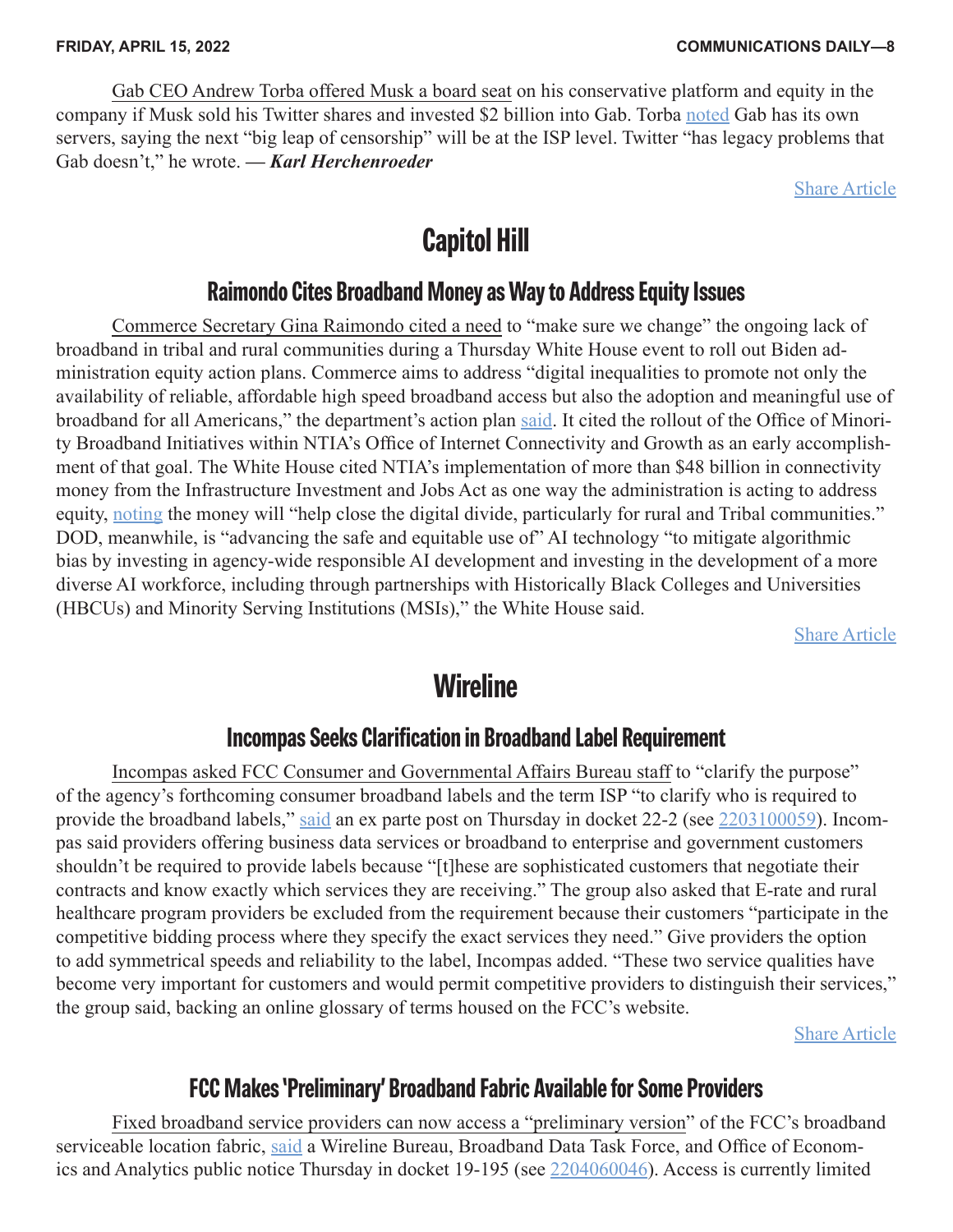<span id="page-7-0"></span>Gab CEO Andrew Torba offered Musk a board seat on his conservative platform and equity in the company if Musk sold his Twitter shares and invested \$2 billion into Gab. Torba [noted](https://communicationsdaily.com/source/833330) Gab has its own servers, saying the next "big leap of censorship" will be at the ISP level. Twitter "has legacy problems that Gab doesn't," he wrote. *— Karl Herchenroeder*

[Share Article](https://communicationsdaily.com/article/share?a=660138)

### **Capitol Hill**

#### **Raimondo Cites Broadband Money as Way to Address Equity Issues**

Commerce Secretary Gina Raimondo cited a need to "make sure we change" the ongoing lack of broadband in tribal and rural communities during a Thursday White House event to roll out Biden administration equity action plans. Commerce aims to address "digital inequalities to promote not only the availability of reliable, affordable high speed broadband access but also the adoption and meaningful use of broadband for all Americans," the department's action plan [said](https://communicationsdaily.com/source/833340). It cited the rollout of the Office of Minority Broadband Initiatives within NTIA's Office of Internet Connectivity and Growth as an early accomplishment of that goal. The White House cited NTIA's implementation of more than \$48 billion in connectivity money from the Infrastructure Investment and Jobs Act as one way the administration is acting to address equity, [noting](https://communicationsdaily.com/source/833339) the money will "help close the digital divide, particularly for rural and Tribal communities." DOD, meanwhile, is "advancing the safe and equitable use of" AI technology "to mitigate algorithmic bias by investing in agency-wide responsible AI development and investing in the development of a more diverse AI workforce, including through partnerships with Historically Black Colleges and Universities (HBCUs) and Minority Serving Institutions (MSIs)," the White House said.

[Share Article](https://communicationsdaily.com/article/share?a=660139)

### **Wireline**

#### **Incompas Seeks Clarification in Broadband Label Requirement**

Incompas asked FCC Consumer and Governmental Affairs Bureau staff to "clarify the purpose" of the agency's forthcoming consumer broadband labels and the term ISP "to clarify who is required to provide the broadband labels," [said](https://communicationsdaily.com/source/833332) an ex parte post on Thursday in docket 22-2 (see [2203100059\)](https://communicationsdaily.com/reference/2203100059). Incompas said providers offering business data services or broadband to enterprise and government customers shouldn't be required to provide labels because "[t]hese are sophisticated customers that negotiate their contracts and know exactly which services they are receiving." The group also asked that E-rate and rural healthcare program providers be excluded from the requirement because their customers "participate in the competitive bidding process where they specify the exact services they need." Give providers the option to add symmetrical speeds and reliability to the label, Incompas added. "These two service qualities have become very important for customers and would permit competitive providers to distinguish their services," the group said, backing an online glossary of terms housed on the FCC's website.

[Share Article](https://communicationsdaily.com/article/share?a=660135)

### **FCC Makes 'Preliminary' Broadband Fabric Available for Some Providers**

Fixed broadband service providers can now access a "preliminary version" of the FCC's broadband serviceable location fabric, [said](https://communicationsdaily.com/source/833336) a Wireline Bureau, Broadband Data Task Force, and Office of Economics and Analytics public notice Thursday in docket 19-195 (see [2204060046](https://communicationsdaily.com/reference/2204060046)). Access is currently limited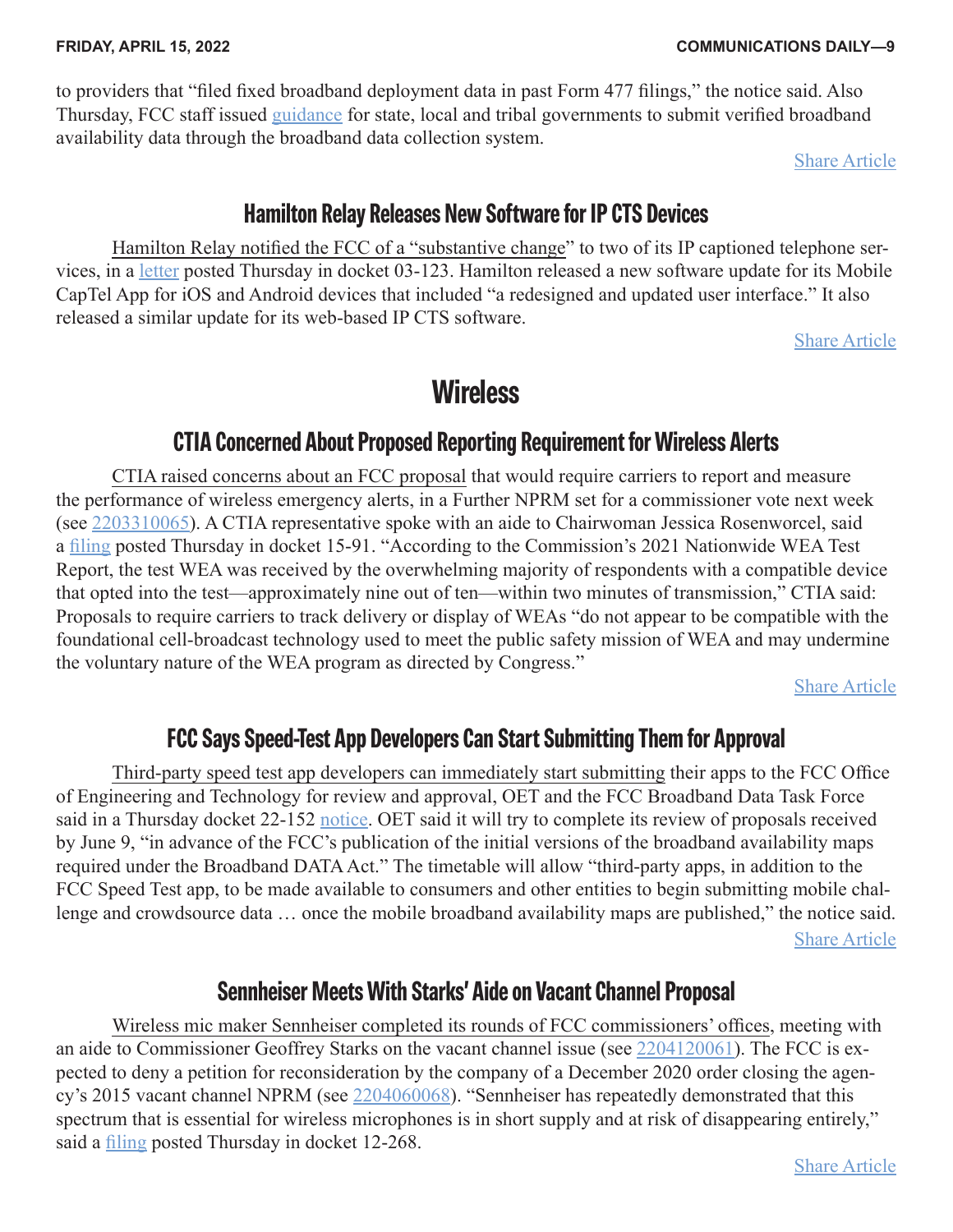<span id="page-8-0"></span>to providers that "filed fixed broadband deployment data in past Form 477 filings," the notice said. Also Thursday, FCC staff issued [guidance](https://communicationsdaily.com/source/833337) for state, local and tribal governments to submit verified broadband availability data through the broadband data collection system.

[Share Article](https://communicationsdaily.com/article/share?a=660137)

### **Hamilton Relay Releases New Software for IP CTS Devices**

Hamilton Relay notified the FCC of a "substantive change" to two of its IP captioned telephone services, in a [letter](https://communicationsdaily.com/source/833318) posted Thursday in docket 03-123. Hamilton released a new software update for its Mobile CapTel App for iOS and Android devices that included "a redesigned and updated user interface." It also released a similar update for its web-based IP CTS software.

[Share Article](https://communicationsdaily.com/article/share?a=660128)

## **Wireless**

### **CTIA Concerned About Proposed Reporting Requirement for Wireless Alerts**

CTIA raised concerns about an FCC proposal that would require carriers to report and measure the performance of wireless emergency alerts, in a Further NPRM set for a commissioner vote next week (see [2203310065\)](https://communicationsdaily.com/reference/2203310065). A CTIA representative spoke with an aide to Chairwoman Jessica Rosenworcel, said a [filing](https://communicationsdaily.com/source/833286) posted Thursday in docket 15-91. "According to the Commission's 2021 Nationwide WEA Test Report, the test WEA was received by the overwhelming majority of respondents with a compatible device that opted into the test—approximately nine out of ten—within two minutes of transmission," CTIA said: Proposals to require carriers to track delivery or display of WEAs "do not appear to be compatible with the foundational cell-broadcast technology used to meet the public safety mission of WEA and may undermine the voluntary nature of the WEA program as directed by Congress."

[Share Article](https://communicationsdaily.com/article/share?a=660113)

### **FCC Says Speed-Test App Developers Can Start Submitting Them for Approval**

Third-party speed test app developers can immediately start submitting their apps to the FCC Office of Engineering and Technology for review and approval, OET and the FCC Broadband Data Task Force said in a Thursday docket 22-152 [notice](https://communicationsdaily.com/source/833309). OET said it will try to complete its review of proposals received by June 9, "in advance of the FCC's publication of the initial versions of the broadband availability maps required under the Broadband DATA Act." The timetable will allow "third-party apps, in addition to the FCC Speed Test app, to be made available to consumers and other entities to begin submitting mobile challenge and crowdsource data … once the mobile broadband availability maps are published," the notice said. [Share Article](https://communicationsdaily.com/article/share?a=660124)

### **Sennheiser Meets With Starks' Aide on Vacant Channel Proposal**

Wireless mic maker Sennheiser completed its rounds of FCC commissioners' offices, meeting with an aide to Commissioner Geoffrey Starks on the vacant channel issue (see [2204120061\)](https://communicationsdaily.com/reference/2204120061). The FCC is expected to deny a petition for reconsideration by the company of a December 2020 order closing the agency's 2015 vacant channel NPRM (see [2204060068](https://communicationsdaily.com/reference/2204060068)). "Sennheiser has repeatedly demonstrated that this spectrum that is essential for wireless microphones is in short supply and at risk of disappearing entirely," said a *[filing](https://communicationsdaily.com/source/833274)* posted Thursday in docket 12-268.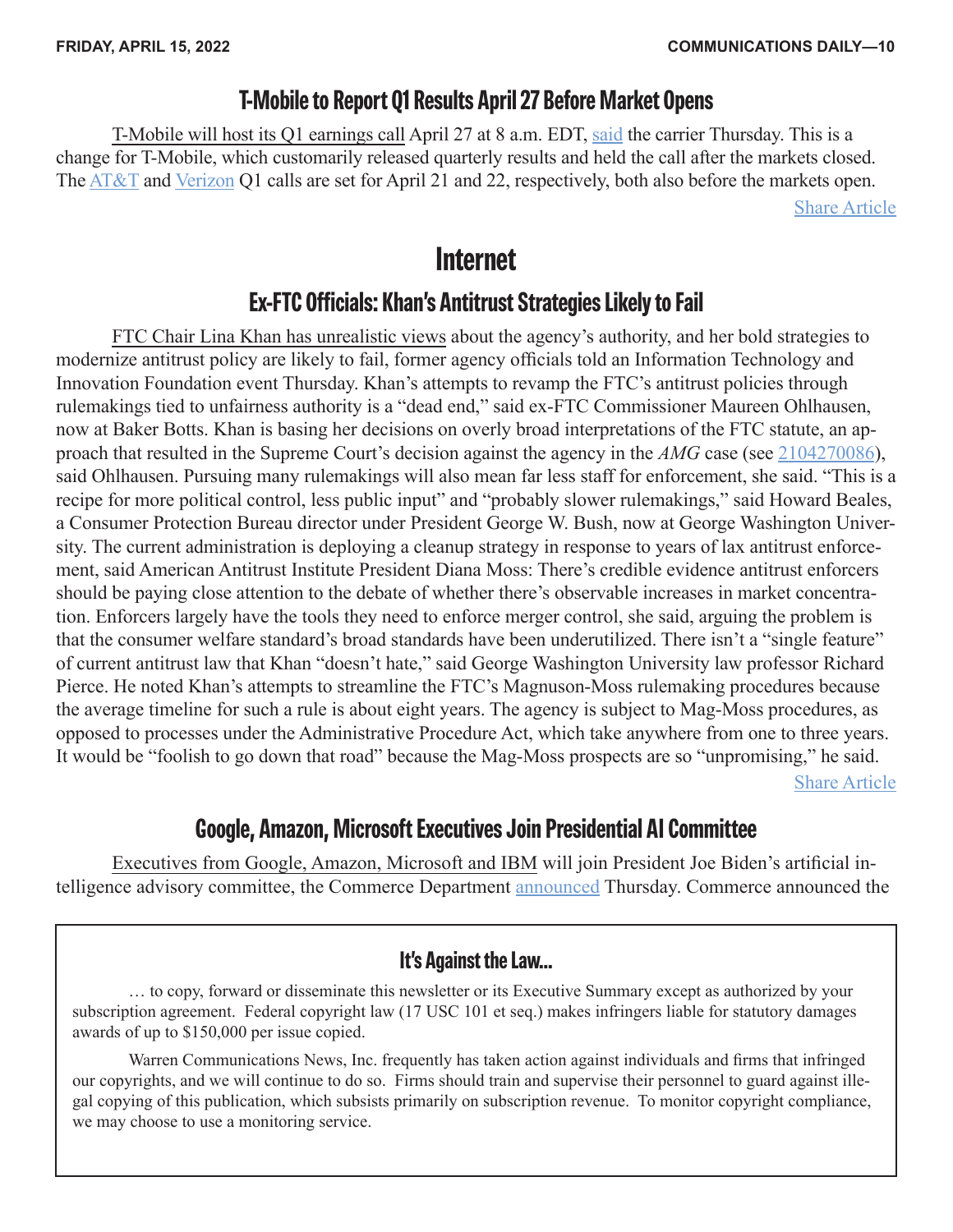### **T-Mobile to Report Q1 Results April 27 Before Market Opens**

<span id="page-9-0"></span>T-Mobile will host its Q1 earnings call April 27 at 8 a.m. EDT, [said](https://communicationsdaily.com/source/833269) the carrier Thursday. This is a change for T-Mobile, which customarily released quarterly results and held the call after the markets closed. The [AT&T](https://communicationsdaily.com/source/833296) and [Verizon](https://communicationsdaily.com/source/833297) Q1 calls are set for April 21 and 22, respectively, both also before the markets open.

[Share Article](https://communicationsdaily.com/article/share?a=660102)

### **Internet**

### **Ex-FTC Officials: Khan's Antitrust Strategies Likely to Fail**

FTC Chair Lina Khan has unrealistic views about the agency's authority, and her bold strategies to modernize antitrust policy are likely to fail, former agency officials told an Information Technology and Innovation Foundation event Thursday. Khan's attempts to revamp the FTC's antitrust policies through rulemakings tied to unfairness authority is a "dead end," said ex-FTC Commissioner Maureen Ohlhausen, now at Baker Botts. Khan is basing her decisions on overly broad interpretations of the FTC statute, an approach that resulted in the Supreme Court's decision against the agency in the *AMG* case (see [2104270086](https://communicationsdaily.com/reference/2104270086)), said Ohlhausen. Pursuing many rulemakings will also mean far less staff for enforcement, she said. "This is a recipe for more political control, less public input" and "probably slower rulemakings," said Howard Beales, a Consumer Protection Bureau director under President George W. Bush, now at George Washington University. The current administration is deploying a cleanup strategy in response to years of lax antitrust enforcement, said American Antitrust Institute President Diana Moss: There's credible evidence antitrust enforcers should be paying close attention to the debate of whether there's observable increases in market concentration. Enforcers largely have the tools they need to enforce merger control, she said, arguing the problem is that the consumer welfare standard's broad standards have been underutilized. There isn't a "single feature" of current antitrust law that Khan "doesn't hate," said George Washington University law professor Richard Pierce. He noted Khan's attempts to streamline the FTC's Magnuson-Moss rulemaking procedures because the average timeline for such a rule is about eight years. The agency is subject to Mag-Moss procedures, as opposed to processes under the Administrative Procedure Act, which take anywhere from one to three years. It would be "foolish to go down that road" because the Mag-Moss prospects are so "unpromising," he said. [Share Article](https://communicationsdaily.com/article/share?a=660129)

### **Google, Amazon, Microsoft Executives Join Presidential AI Committee**

Executives from Google, Amazon, Microsoft and IBM will join President Joe Biden's artificial intelligence advisory committee, the Commerce Department [announced](https://communicationsdaily.com/source/833263) Thursday. Commerce announced the

#### **It's Against the Law...**

… to copy, forward or disseminate this newsletter or its Executive Summary except as authorized by your subscription agreement. Federal copyright law (17 USC 101 et seq.) makes infringers liable for statutory damages awards of up to \$150,000 per issue copied.

Warren Communications News, Inc. frequently has taken action against individuals and firms that infringed our copyrights, and we will continue to do so. Firms should train and supervise their personnel to guard against illegal copying of this publication, which subsists primarily on subscription revenue. To monitor copyright compliance, we may choose to use a monitoring service.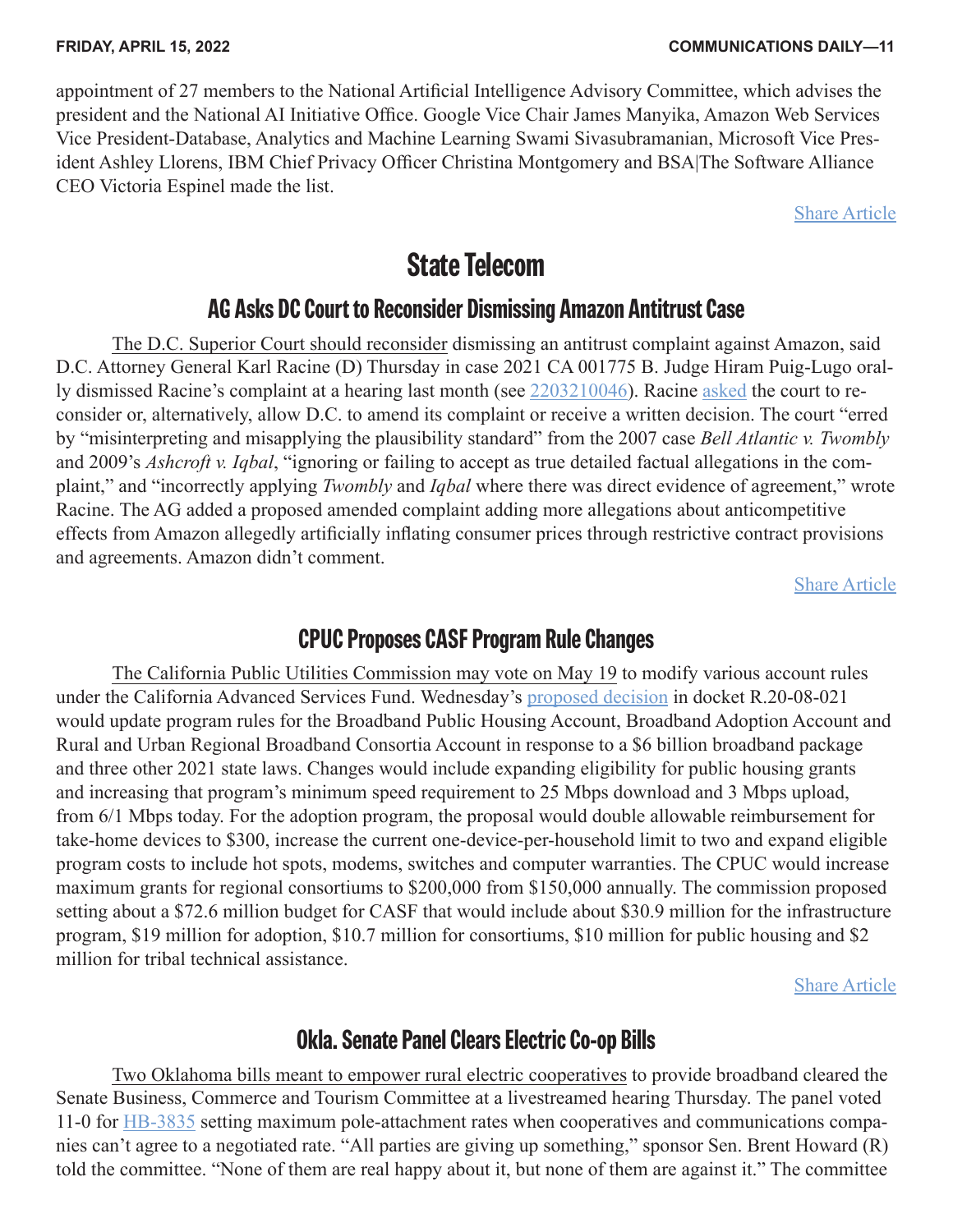<span id="page-10-0"></span>appointment of 27 members to the National Artificial Intelligence Advisory Committee, which advises the president and the National AI Initiative Office. Google Vice Chair James Manyika, Amazon Web Services Vice President-Database, Analytics and Machine Learning Swami Sivasubramanian, Microsoft Vice President Ashley Llorens, IBM Chief Privacy Officer Christina Montgomery and BSA|The Software Alliance CEO Victoria Espinel made the list.

[Share Article](https://communicationsdaily.com/article/share?a=660120)

### **State Telecom**

#### **AG Asks DC Court to Reconsider Dismissing Amazon Antitrust Case**

The D.C. Superior Court should reconsider dismissing an antitrust complaint against Amazon, said D.C. Attorney General Karl Racine (D) Thursday in case 2021 CA 001775 B. Judge Hiram Puig-Lugo orally dismissed Racine's complaint at a hearing last month (see [2203210046](https://communicationsdaily.com/reference/2203210046)). Racine [asked](https://communicationsdaily.com/source/833300) the court to reconsider or, alternatively, allow D.C. to amend its complaint or receive a written decision. The court "erred by "misinterpreting and misapplying the plausibility standard" from the 2007 case *Bell Atlantic v. Twombly* and 2009's *Ashcroft v. Iqbal*, "ignoring or failing to accept as true detailed factual allegations in the complaint," and "incorrectly applying *Twombly* and *Iqbal* where there was direct evidence of agreement," wrote Racine. The AG added a proposed amended complaint adding more allegations about anticompetitive effects from Amazon allegedly artificially inflating consumer prices through restrictive contract provisions and agreements. Amazon didn't comment.

[Share Article](https://communicationsdaily.com/article/share?a=660118)

#### **CPUC Proposes CASF Program Rule Changes**

The California Public Utilities Commission may vote on May 19 to modify various account rules under the California Advanced Services Fund. Wednesday's [proposed decision](https://communicationsdaily.com/source/833311) in docket R.20-08-021 would update program rules for the Broadband Public Housing Account, Broadband Adoption Account and Rural and Urban Regional Broadband Consortia Account in response to a \$6 billion broadband package and three other 2021 state laws. Changes would include expanding eligibility for public housing grants and increasing that program's minimum speed requirement to 25 Mbps download and 3 Mbps upload, from 6/1 Mbps today. For the adoption program, the proposal would double allowable reimbursement for take-home devices to \$300, increase the current one-device-per-household limit to two and expand eligible program costs to include hot spots, modems, switches and computer warranties. The CPUC would increase maximum grants for regional consortiums to \$200,000 from \$150,000 annually. The commission proposed setting about a \$72.6 million budget for CASF that would include about \$30.9 million for the infrastructure program, \$19 million for adoption, \$10.7 million for consortiums, \$10 million for public housing and \$2 million for tribal technical assistance.

[Share Article](https://communicationsdaily.com/article/share?a=660125)

### **Okla. Senate Panel Clears Electric Co-op Bills**

Two Oklahoma bills meant to empower rural electric cooperatives to provide broadband cleared the Senate Business, Commerce and Tourism Committee at a livestreamed hearing Thursday. The panel voted 11-0 for [HB-3835](https://communicationsdaily.com/source/833288) setting maximum pole-attachment rates when cooperatives and communications companies can't agree to a negotiated rate. "All parties are giving up something," sponsor Sen. Brent Howard (R) told the committee. "None of them are real happy about it, but none of them are against it." The committee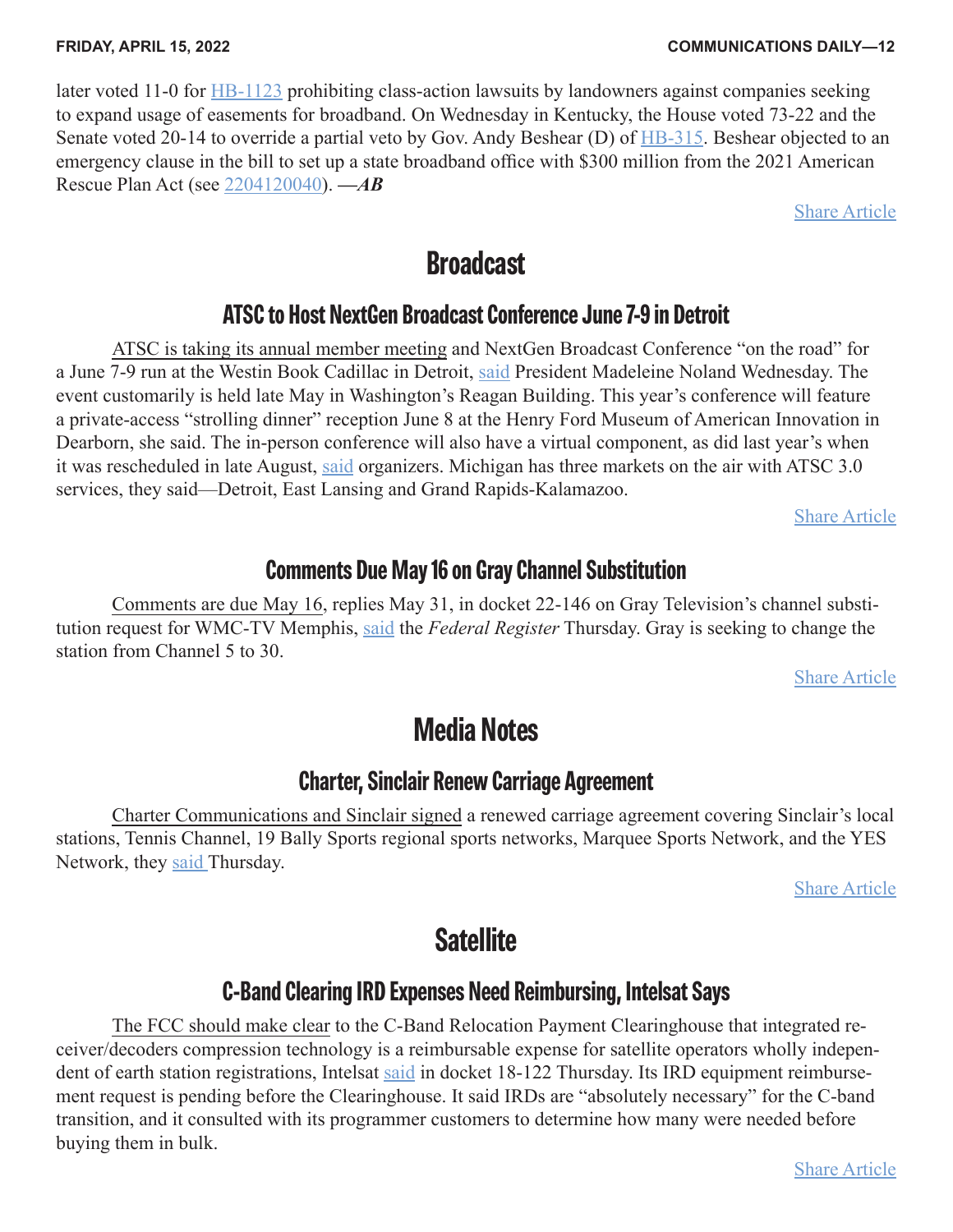<span id="page-11-0"></span>later voted 11-0 for **HB-1123** prohibiting class-action lawsuits by landowners against companies seeking to expand usage of easements for broadband. On Wednesday in Kentucky, the House voted 73-22 and the Senate voted 20-14 to override a partial veto by Gov. Andy Beshear (D) of [HB-315](https://communicationsdaily.com/source/830207). Beshear objected to an emergency clause in the bill to set up a state broadband office with \$300 million from the 2021 American Rescue Plan Act (see [2204120040\)](https://communicationsdaily.com/reference/2204120040). *—AB*

[Share Article](https://communicationsdaily.com/article/share?a=660114)

### **Broadcast**

### **ATSC to Host NextGen Broadcast Conference June 7-9 in Detroit**

ATSC is taking its annual member meeting and NextGen Broadcast Conference "on the road" for a June 7-9 run at the Westin Book Cadillac in Detroit, [said](https://communicationsdaily.com/source/833279) President Madeleine Noland Wednesday. The event customarily is held late May in Washington's Reagan Building. This year's conference will feature a private-access "strolling dinner" reception June 8 at the Henry Ford Museum of American Innovation in Dearborn, she said. The in-person conference will also have a virtual component, as did last year's when it was rescheduled in late August, [said](https://communicationsdaily.com/source/833280) organizers. Michigan has three markets on the air with ATSC 3.0 services, they said—Detroit, East Lansing and Grand Rapids-Kalamazoo.

[Share Article](https://communicationsdaily.com/article/share?a=660109)

### **Comments Due May 16 on Gray Channel Substitution**

Comments are due May 16, replies May 31, in docket 22-146 on Gray Television's channel substitution request for WMC-TV Memphis, [said](https://communicationsdaily.com/source/833327) the *Federal Register* Thursday. Gray is seeking to change the station from Channel 5 to 30.

[Share Article](https://communicationsdaily.com/article/share?a=660131)

# **Media Notes**

### **Charter, Sinclair Renew Carriage Agreement**

Charter Communications and Sinclair signed a renewed carriage agreement covering Sinclair's local stations, Tennis Channel, 19 Bally Sports regional sports networks, Marquee Sports Network, and the YES Network, they [said T](https://communicationsdaily.com/source/833343)hursday.

[Share Article](https://communicationsdaily.com/article/share?a=660141)

### **Satellite**

### **C-Band Clearing IRD Expenses Need Reimbursing, Intelsat Says**

The FCC should make clear to the C-Band Relocation Payment Clearinghouse that integrated receiver/decoders compression technology is a reimbursable expense for satellite operators wholly independent of earth station registrations, Intelsat [said](https://communicationsdaily.com/source/833294) in docket 18-122 Thursday. Its IRD equipment reimbursement request is pending before the Clearinghouse. It said IRDs are "absolutely necessary" for the C-band transition, and it consulted with its programmer customers to determine how many were needed before buying them in bulk.

[Share Article](https://communicationsdaily.com/article/share?a=660116)